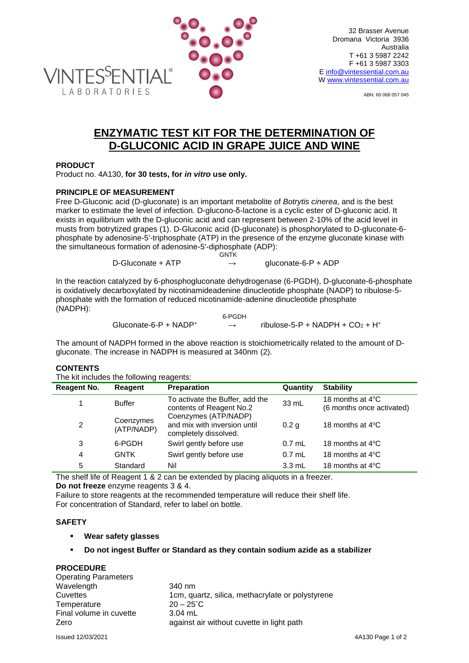

ABN: 60 068 057 045

# **ENZYMATIC TEST KIT FOR THE DETERMINATION OF D-GLUCONIC ACID IN GRAPE JUICE AND WINE**

#### **PRODUCT**

Product no. 4A130, **for 30 tests, for** *in vitro* **use only.**

## **PRINCIPLE OF MEASUREMENT**

Free D-Gluconic acid (D-gluconate) is an important metabolite of *Botrytis cinerea*, and is the best marker to estimate the level of infection. D-glucono-δ-lactone is a cyclic ester of D-gluconic acid. It exists in equilibrium with the D-gluconic acid and can represent between 2-10% of the acid level in musts from botrytized grapes (1). D-Gluconic acid (D-gluconate) is phosphorylated to D-gluconate-6 phosphate by adenosine-5'-triphosphate (ATP) in the presence of the enzyme gluconate kinase with the simultaneous formation of adenosine-5'-diphosphate (ADP): **GNTK** 

D-Gluconate + ATP  $\rightarrow$  gluconate-6-P + ADP

In the reaction catalyzed by 6-phosphogluconate dehydrogenase (6-PGDH), D-gluconate-6-phosphate is oxidatively decarboxylated by nicotinamideadenine dinucleotide phosphate (NADP) to ribulose-5 phosphate with the formation of reduced nicotinamide-adenine dinucleotide phosphate (NADPH):

6-PGDH Gluconate-6-P + NADP<sup>+</sup>  $\rightarrow$  ribulose-5-P + NADPH + CO<sub>2</sub> + H<sup>+</sup>

The amount of NADPH formed in the above reaction is stoichiometrically related to the amount of Dgluconate. The increase in NADPH is measured at 340nm (2).

## **CONTENTS**

The kit includes the following reagents:

| <b>Reagent No.</b> | Reagent                 | <b>Preparation</b>                                                            | Quantity         | <b>Stability</b>                                        |
|--------------------|-------------------------|-------------------------------------------------------------------------------|------------------|---------------------------------------------------------|
|                    | <b>Buffer</b>           | To activate the Buffer, add the<br>contents of Reagent No.2                   | 33 mL            | 18 months at $4^{\circ}$ C<br>(6 months once activated) |
| $\overline{2}$     | Coenzymes<br>(ATP/NADP) | Coenzymes (ATP/NADP)<br>and mix with inversion until<br>completely dissolved. | 0.2 <sub>q</sub> | 18 months at $4^{\circ}$ C                              |
| 3                  | 6-PGDH                  | Swirl gently before use                                                       | $0.7$ mL         | 18 months at $4^{\circ}$ C                              |
| 4                  | <b>GNTK</b>             | Swirl gently before use                                                       | $0.7$ mL         | 18 months at $4^{\circ}$ C                              |
| 5                  | Standard                | Nil                                                                           | $3.3 \text{ mL}$ | 18 months at $4^{\circ}$ C                              |

The shelf life of Reagent 1 & 2 can be extended by placing aliquots in a freezer. **Do not freeze** enzyme reagents 3 & 4.

Failure to store reagents at the recommended temperature will reduce their shelf life. For concentration of Standard, refer to label on bottle.

## **SAFETY**

**Wear safety glasses**

## **Do not ingest Buffer or Standard as they contain sodium azide as a stabilizer**

## **PROCEDURE**

| <b>Operating Parameters</b> |                                                  |
|-----------------------------|--------------------------------------------------|
| Wavelength                  | 340 nm                                           |
| Cuvettes                    | 1cm, quartz, silica, methacrylate or polystyrene |
| Temperature                 | $20 - 25^{\circ}$ C                              |
| Final volume in cuvette     | $3.04$ mL                                        |
| Zero                        | against air without cuvette in light path        |